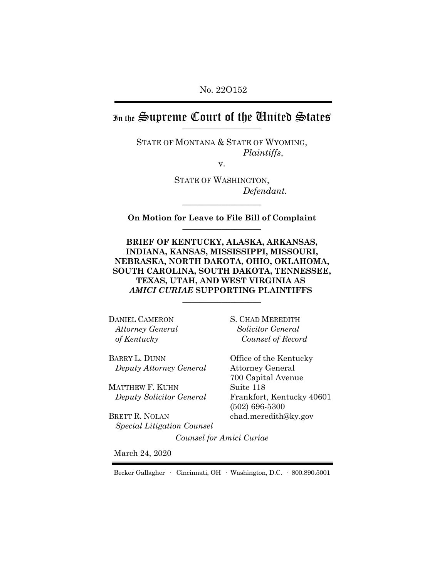No. 22O152

In the Supreme Court of the Chuited States

STATE OF MONTANA & STATE OF WYOMING, *Plaintiffs*,

v.

STATE OF WASHINGTON, *Defendant.*

**On Motion for Leave to File Bill of Complaint** \_\_\_\_\_\_\_\_\_\_\_\_\_\_\_\_\_\_

\_\_\_\_\_\_\_\_\_\_\_\_\_\_\_\_\_\_

**BRIEF OF KENTUCKY, ALASKA, ARKANSAS, INDIANA, KANSAS, MISSISSIPPI, MISSOURI, NEBRASKA, NORTH DAKOTA, OHIO, OKLAHOMA, SOUTH CAROLINA, SOUTH DAKOTA, TENNESSEE, TEXAS, UTAH, AND WEST VIRGINIA AS**  *AMICI CURIAE* **SUPPORTING PLAINTIFFS**  \_\_\_\_\_\_\_\_\_\_\_\_\_\_\_\_\_\_

DANIEL CAMERON *Attorney General of Kentucky* 

BARRY L. DUNN  *Deputy Attorney General*

MATTHEW F. KUHN *Deputy Solicitor General*

BRETT R. NOLAN  *Special Litigation Counsel* S. CHAD MEREDITH *Solicitor General Counsel of Record*

Office of the Kentucky Attorney General 700 Capital Avenue Suite 118 Frankfort, Kentucky 40601 (502) 696-5300 chad.meredith@ky.gov

*Counsel for Amici Curiae*

March 24, 2020

Becker Gallagher · Cincinnati, OH · Washington, D.C. · 800.890.5001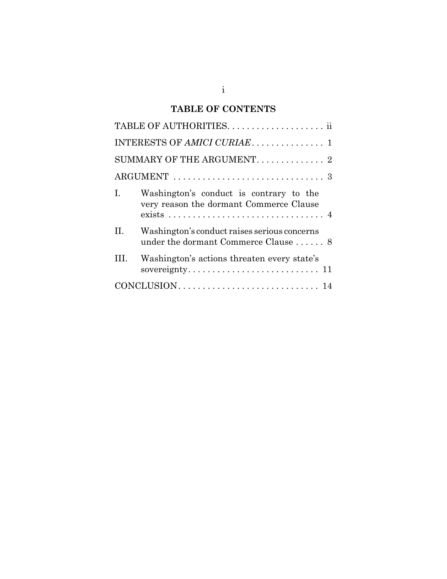# **TABLE OF CONTENTS**

| SUMMARY OF THE ARGUMENT. 2 |                                                                                                                                                                            |  |  |  |
|----------------------------|----------------------------------------------------------------------------------------------------------------------------------------------------------------------------|--|--|--|
|                            |                                                                                                                                                                            |  |  |  |
| Ι.                         | Washington's conduct is contrary to the<br>very reason the dormant Commerce Clause<br>$exists \dots \dots \dots \dots \dots \dots \dots \dots \dots \dots \dots \dots \ 4$ |  |  |  |
| Н.                         | Washington's conduct raises serious concerns<br>under the dormant Commerce Clause  8                                                                                       |  |  |  |
|                            | Washington's actions threaten every state's                                                                                                                                |  |  |  |
|                            |                                                                                                                                                                            |  |  |  |
|                            |                                                                                                                                                                            |  |  |  |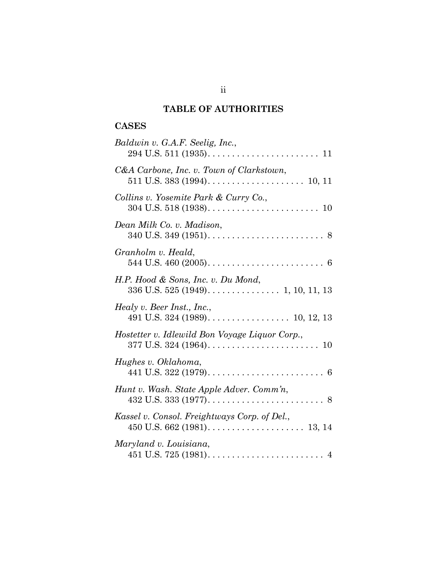# **TABLE OF AUTHORITIES**

## **CASES**

| Baldwin v. G.A.F. Seelig, Inc.,                               |
|---------------------------------------------------------------|
| C&A Carbone, Inc. v. Town of Clarkstown,                      |
| Collins v. Yosemite Park & Curry Co.,                         |
| Dean Milk Co. v. Madison,                                     |
| Granholm v. Heald,                                            |
| H.P. Hood & Sons, Inc. v. Du Mond,                            |
| Healy v. Beer Inst., Inc.,<br>491 U.S. 324 (1989). 10, 12, 13 |
| Hostetter v. Idlewild Bon Voyage Liquor Corp.,                |
| Hughes v. Oklahoma,                                           |
| Hunt v. Wash. State Apple Adver. Comm'n,                      |
| Kassel v. Consol. Freightways Corp. of Del.,                  |
| Maryland v. Louisiana,                                        |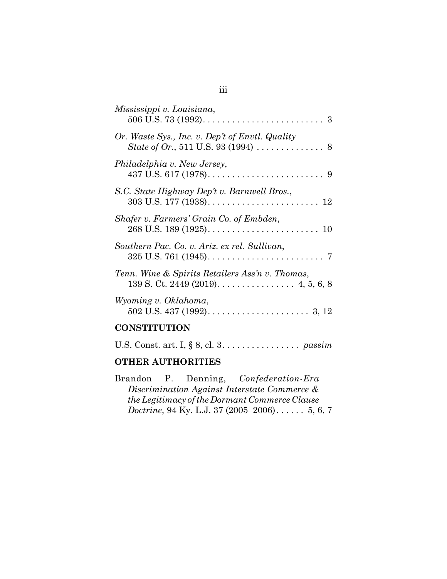| Mississippi v. Louisiana,                                                                                           |
|---------------------------------------------------------------------------------------------------------------------|
| Or. Waste Sys., Inc. v. Dep't of Envtl. Quality<br>State of Or., 511 U.S. 93 (1994) $\ldots \ldots \ldots \ldots$ 8 |
| Philadelphia v. New Jersey,                                                                                         |
| S.C. State Highway Dep't v. Barnwell Bros.,                                                                         |
| Shafer v. Farmers' Grain Co. of Embden,                                                                             |
| Southern Pac. Co. v. Ariz. ex rel. Sullivan,                                                                        |
| Tenn. Wine & Spirits Retailers Ass'n v. Thomas,<br>139 S. Ct. 2449 (2019). $\dots$ 4, 5, 6, 8                       |
| Wyoming v. Oklahoma,                                                                                                |
| , mitmittent                                                                                                        |

#### **CONSTITUTION**

| U.S. Const. art. I, $\S$ 8, cl. 3. passim |  |
|-------------------------------------------|--|
|-------------------------------------------|--|

# **OTHER AUTHORITIES**

|  | Brandon P. Denning, Confederation-Era                  |  |
|--|--------------------------------------------------------|--|
|  | Discrimination Against Interstate Commerce &           |  |
|  | the Legitimacy of the Dormant Commerce Clause          |  |
|  | <i>Doctrine</i> , 94 Ky. L.J. 37 $(2005-2006)$ 5, 6, 7 |  |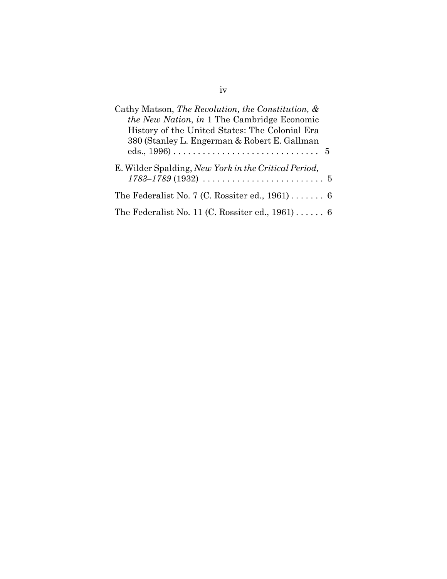| Cathy Matson, The Revolution, the Constitution, &<br>the New Nation, in 1 The Cambridge Economic<br>History of the United States: The Colonial Era<br>380 (Stanley L. Engerman & Robert E. Gallman |
|----------------------------------------------------------------------------------------------------------------------------------------------------------------------------------------------------|
| E. Wilder Spalding, New York in the Critical Period,<br>$1783 - 1789(1932) \ldots \ldots \ldots \ldots \ldots \ldots \ldots 5$                                                                     |
| The Federalist No. 7 (C. Rossiter ed., $1961$ ) 6                                                                                                                                                  |
| The Federalist No. 11 (C. Rossiter ed., $1961$ ) 6                                                                                                                                                 |

iv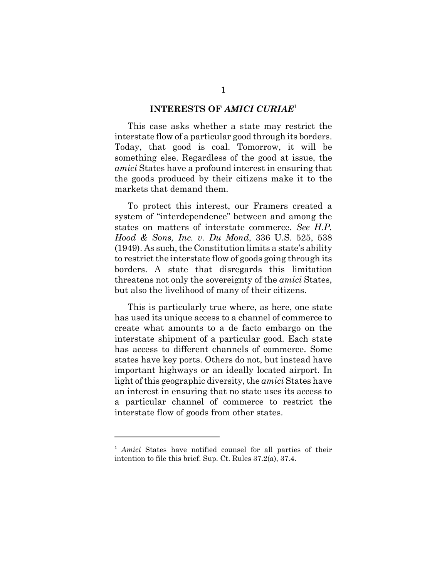#### **INTERESTS OF** *AMICI CURIAE*<sup>1</sup>

This case asks whether a state may restrict the interstate flow of a particular good through its borders. Today, that good is coal. Tomorrow, it will be something else. Regardless of the good at issue, the *amici* States have a profound interest in ensuring that the goods produced by their citizens make it to the markets that demand them.

To protect this interest, our Framers created a system of "interdependence" between and among the states on matters of interstate commerce. *See H.P. Hood & Sons, Inc. v. Du Mond*, 336 U.S. 525, 538 (1949). As such, the Constitution limits a state's ability to restrict the interstate flow of goods going through its borders. A state that disregards this limitation threatens not only the sovereignty of the *amici* States, but also the livelihood of many of their citizens.

This is particularly true where, as here, one state has used its unique access to a channel of commerce to create what amounts to a de facto embargo on the interstate shipment of a particular good. Each state has access to different channels of commerce. Some states have key ports. Others do not, but instead have important highways or an ideally located airport. In light of this geographic diversity, the *amici* States have an interest in ensuring that no state uses its access to a particular channel of commerce to restrict the interstate flow of goods from other states.

<sup>&</sup>lt;sup>1</sup> Amici States have notified counsel for all parties of their intention to file this brief. Sup. Ct. Rules 37.2(a), 37.4.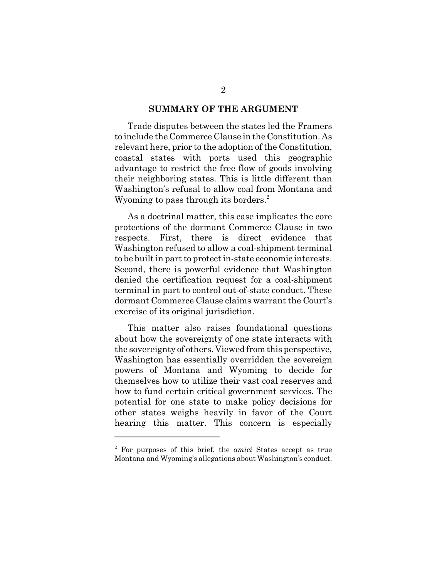#### **SUMMARY OF THE ARGUMENT**

Trade disputes between the states led the Framers to include the Commerce Clause in the Constitution. As relevant here, prior to the adoption of the Constitution, coastal states with ports used this geographic advantage to restrict the free flow of goods involving their neighboring states. This is little different than Washington's refusal to allow coal from Montana and Wyoming to pass through its borders.<sup>2</sup>

As a doctrinal matter, this case implicates the core protections of the dormant Commerce Clause in two respects. First, there is direct evidence that Washington refused to allow a coal-shipment terminal to be built in part to protect in-state economic interests. Second, there is powerful evidence that Washington denied the certification request for a coal-shipment terminal in part to control out-of-state conduct. These dormant Commerce Clause claims warrant the Court's exercise of its original jurisdiction.

This matter also raises foundational questions about how the sovereignty of one state interacts with the sovereignty of others. Viewed from this perspective, Washington has essentially overridden the sovereign powers of Montana and Wyoming to decide for themselves how to utilize their vast coal reserves and how to fund certain critical government services. The potential for one state to make policy decisions for other states weighs heavily in favor of the Court hearing this matter. This concern is especially

<sup>2</sup> For purposes of this brief, the *amici* States accept as true Montana and Wyoming's allegations about Washington's conduct.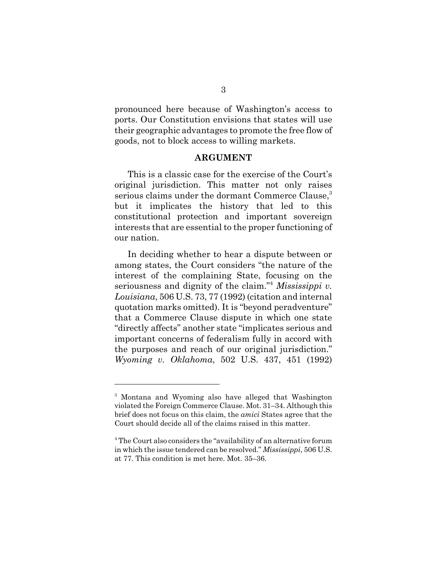pronounced here because of Washington's access to ports. Our Constitution envisions that states will use their geographic advantages to promote the free flow of goods, not to block access to willing markets.

#### **ARGUMENT**

This is a classic case for the exercise of the Court's original jurisdiction. This matter not only raises serious claims under the dormant Commerce Clause,<sup>3</sup> but it implicates the history that led to this constitutional protection and important sovereign interests that are essential to the proper functioning of our nation.

In deciding whether to hear a dispute between or among states, the Court considers "the nature of the interest of the complaining State, focusing on the seriousness and dignity of the claim."<sup>4</sup> *Mississippi v. Louisiana*, 506 U.S. 73, 77 (1992) (citation and internal quotation marks omitted). It is "beyond peradventure" that a Commerce Clause dispute in which one state "directly affects" another state "implicates serious and important concerns of federalism fully in accord with the purposes and reach of our original jurisdiction." *Wyoming v. Oklahoma*, 502 U.S. 437, 451 (1992)

<sup>&</sup>lt;sup>3</sup> Montana and Wyoming also have alleged that Washington violated the Foreign Commerce Clause. Mot. 31–34. Although this brief does not focus on this claim, the *amici* States agree that the Court should decide all of the claims raised in this matter.

<sup>&</sup>lt;sup>4</sup> The Court also considers the "availability of an alternative forum in which the issue tendered can be resolved." *Mississippi*, 506 U.S. at 77. This condition is met here. Mot. 35–36.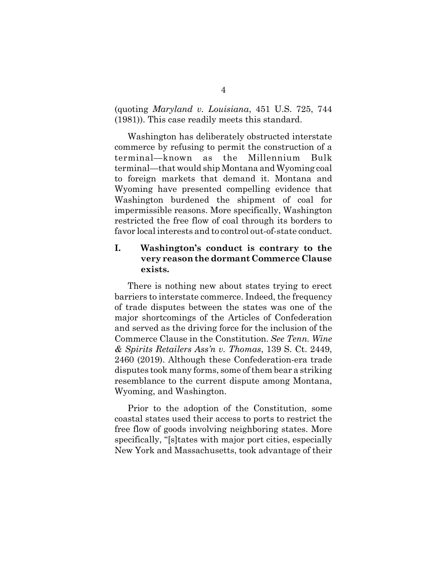(quoting *Maryland v. Louisiana*, 451 U.S. 725, 744 (1981)). This case readily meets this standard.

Washington has deliberately obstructed interstate commerce by refusing to permit the construction of a terminal—known as the Millennium Bulk terminal—that would ship Montana and Wyoming coal to foreign markets that demand it. Montana and Wyoming have presented compelling evidence that Washington burdened the shipment of coal for impermissible reasons. More specifically, Washington restricted the free flow of coal through its borders to favor local interests and to control out-of-state conduct.

## **I. Washington's conduct is contrary to the very reason the dormant Commerce Clause exists.**

There is nothing new about states trying to erect barriers to interstate commerce. Indeed, the frequency of trade disputes between the states was one of the major shortcomings of the Articles of Confederation and served as the driving force for the inclusion of the Commerce Clause in the Constitution. *See Tenn. Wine & Spirits Retailers Ass'n v. Thomas*, 139 S. Ct. 2449, 2460 (2019). Although these Confederation-era trade disputes took many forms, some of them bear a striking resemblance to the current dispute among Montana, Wyoming, and Washington.

Prior to the adoption of the Constitution, some coastal states used their access to ports to restrict the free flow of goods involving neighboring states. More specifically, "[s]tates with major port cities, especially New York and Massachusetts, took advantage of their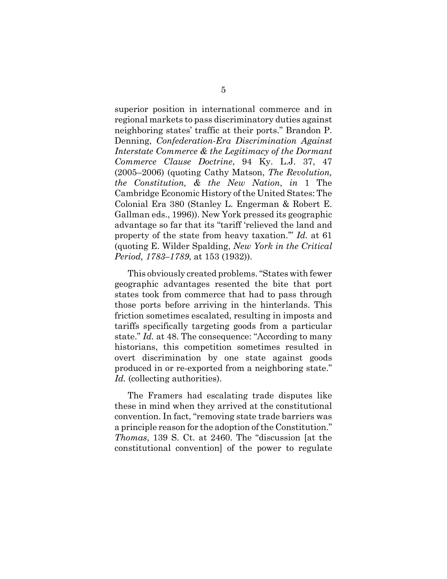superior position in international commerce and in regional markets to pass discriminatory duties against neighboring states' traffic at their ports." Brandon P. Denning, *Confederation-Era Discrimination Against Interstate Commerce & the Legitimacy of the Dormant Commerce Clause Doctrine*, 94 Ky. L.J. 37, 47 (2005–2006) (quoting Cathy Matson, *The Revolution, the Constitution, & the New Nation*, *in* 1 The Cambridge Economic History of the United States: The Colonial Era 380 (Stanley L. Engerman & Robert E. Gallman eds., 1996)). New York pressed its geographic advantage so far that its "tariff 'relieved the land and property of the state from heavy taxation.'" *Id.* at 61 (quoting E. Wilder Spalding, *New York in the Critical Period, 1783–1789*, at 153 (1932)).

This obviously created problems. "States with fewer geographic advantages resented the bite that port states took from commerce that had to pass through those ports before arriving in the hinterlands. This friction sometimes escalated, resulting in imposts and tariffs specifically targeting goods from a particular state." *Id.* at 48. The consequence: "According to many historians, this competition sometimes resulted in overt discrimination by one state against goods produced in or re-exported from a neighboring state." Id. (collecting authorities).

The Framers had escalating trade disputes like these in mind when they arrived at the constitutional convention. In fact, "removing state trade barriers was a principle reason for the adoption of the Constitution." *Thomas*, 139 S. Ct. at 2460. The "discussion [at the constitutional convention] of the power to regulate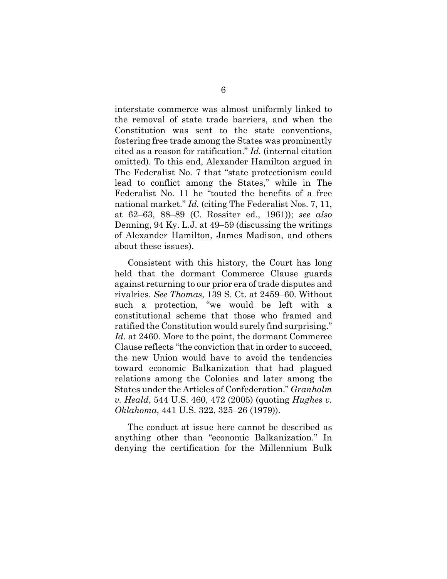interstate commerce was almost uniformly linked to the removal of state trade barriers, and when the Constitution was sent to the state conventions, fostering free trade among the States was prominently cited as a reason for ratification." *Id.* (internal citation omitted). To this end, Alexander Hamilton argued in The Federalist No. 7 that "state protectionism could lead to conflict among the States," while in The Federalist No. 11 he "touted the benefits of a free national market." *Id.* (citing The Federalist Nos. 7, 11, at 62–63, 88–89 (C. Rossiter ed., 1961)); *see also* Denning, 94 Ky. L.J. at 49–59 (discussing the writings of Alexander Hamilton, James Madison, and others about these issues).

Consistent with this history, the Court has long held that the dormant Commerce Clause guards against returning to our prior era of trade disputes and rivalries. *See Thomas*, 139 S. Ct. at 2459–60. Without such a protection, "we would be left with a constitutional scheme that those who framed and ratified the Constitution would surely find surprising." *Id.* at 2460. More to the point, the dormant Commerce Clause reflects "the conviction that in order to succeed, the new Union would have to avoid the tendencies toward economic Balkanization that had plagued relations among the Colonies and later among the States under the Articles of Confederation." *Granholm v. Heald*, 544 U.S. 460, 472 (2005) (quoting *Hughes v. Oklahoma*, 441 U.S. 322, 325–26 (1979)).

The conduct at issue here cannot be described as anything other than "economic Balkanization." In denying the certification for the Millennium Bulk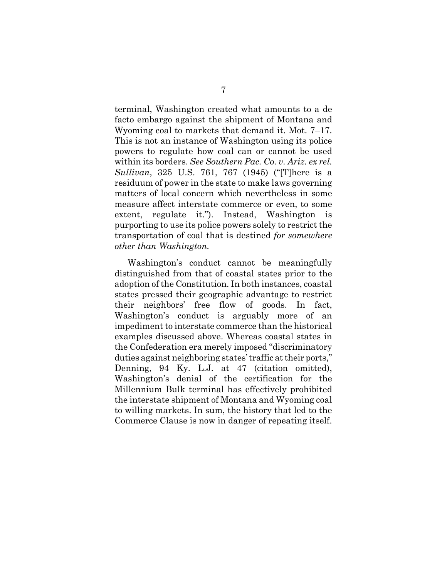terminal, Washington created what amounts to a de facto embargo against the shipment of Montana and Wyoming coal to markets that demand it. Mot. 7–17. This is not an instance of Washington using its police powers to regulate how coal can or cannot be used within its borders. *See Southern Pac. Co. v. Ariz. ex rel. Sullivan*, 325 U.S. 761, 767 (1945) ("[T]here is a residuum of power in the state to make laws governing matters of local concern which nevertheless in some measure affect interstate commerce or even, to some extent, regulate it."). Instead, Washington is purporting to use its police powers solely to restrict the transportation of coal that is destined *for somewhere other than Washington.*

Washington's conduct cannot be meaningfully distinguished from that of coastal states prior to the adoption of the Constitution. In both instances, coastal states pressed their geographic advantage to restrict their neighbors' free flow of goods. In fact, Washington's conduct is arguably more of an impediment to interstate commerce than the historical examples discussed above. Whereas coastal states in the Confederation era merely imposed "discriminatory duties against neighboring states' traffic at their ports," Denning, 94 Ky. L.J. at 47 (citation omitted), Washington's denial of the certification for the Millennium Bulk terminal has effectively prohibited the interstate shipment of Montana and Wyoming coal to willing markets. In sum, the history that led to the Commerce Clause is now in danger of repeating itself.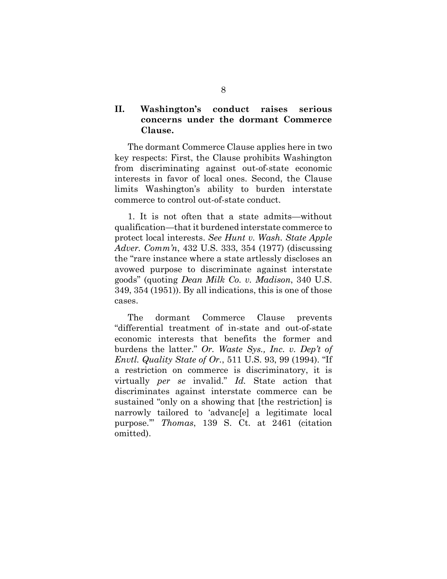## **II. Washington's conduct raises serious concerns under the dormant Commerce Clause.**

The dormant Commerce Clause applies here in two key respects: First, the Clause prohibits Washington from discriminating against out-of-state economic interests in favor of local ones. Second, the Clause limits Washington's ability to burden interstate commerce to control out-of-state conduct.

1. It is not often that a state admits—without qualification—that it burdened interstate commerce to protect local interests. *See Hunt v. Wash. State Apple Adver. Comm'n*, 432 U.S. 333, 354 (1977) (discussing the "rare instance where a state artlessly discloses an avowed purpose to discriminate against interstate goods" (quoting *Dean Milk Co. v. Madison*, 340 U.S. 349, 354 (1951)). By all indications, this is one of those cases.

The dormant Commerce Clause prevents "differential treatment of in-state and out-of-state economic interests that benefits the former and burdens the latter." *Or. Waste Sys., Inc. v. Dep't of Envtl. Quality State of Or.*, 511 U.S. 93, 99 (1994). "If a restriction on commerce is discriminatory, it is virtually *per se* invalid." *Id.* State action that discriminates against interstate commerce can be sustained "only on a showing that [the restriction] is narrowly tailored to 'advanc[e] a legitimate local purpose.'" *Thomas*, 139 S. Ct. at 2461 (citation omitted).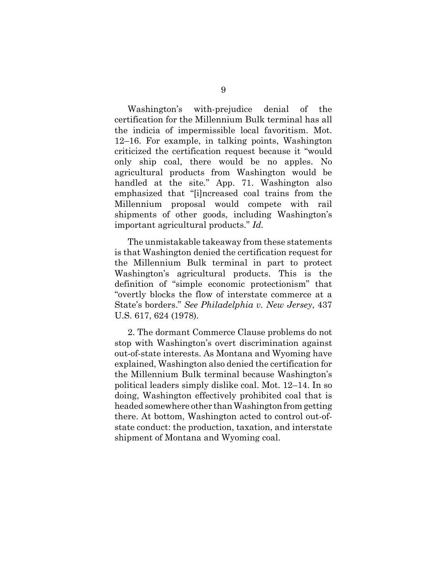Washington's with-prejudice denial of the certification for the Millennium Bulk terminal has all the indicia of impermissible local favoritism. Mot. 12–16. For example, in talking points, Washington criticized the certification request because it "would only ship coal, there would be no apples. No agricultural products from Washington would be handled at the site*.*" App. 71. Washington also emphasized that "[i]ncreased coal trains from the Millennium proposal would compete with rail shipments of other goods, including Washington's important agricultural products." *Id.*

The unmistakable takeaway from these statements is that Washington denied the certification request for the Millennium Bulk terminal in part to protect Washington's agricultural products. This is the definition of "simple economic protectionism" that "overtly blocks the flow of interstate commerce at a State's borders." *See Philadelphia v. New Jersey*, 437 U.S. 617, 624 (1978).

2. The dormant Commerce Clause problems do not stop with Washington's overt discrimination against out-of-state interests. As Montana and Wyoming have explained, Washington also denied the certification for the Millennium Bulk terminal because Washington's political leaders simply dislike coal. Mot. 12–14. In so doing, Washington effectively prohibited coal that is headed somewhere other than Washington from getting there. At bottom, Washington acted to control out-ofstate conduct: the production, taxation, and interstate shipment of Montana and Wyoming coal.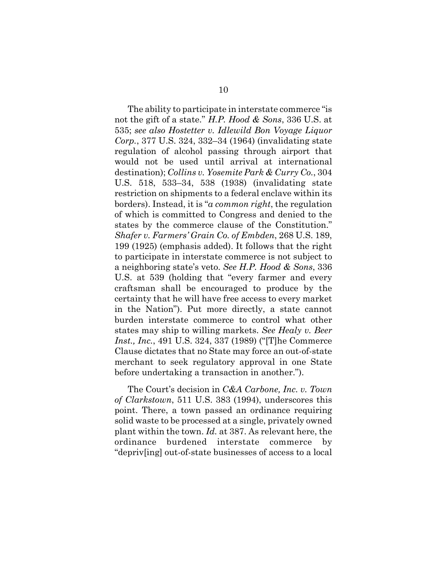The ability to participate in interstate commerce "is not the gift of a state." *H.P. Hood & Sons*, 336 U.S. at 535; *see also Hostetter v. Idlewild Bon Voyage Liquor Corp.*, 377 U.S. 324, 332–34 (1964) (invalidating state regulation of alcohol passing through airport that would not be used until arrival at international destination); *Collins v. Yosemite Park & Curry Co.*, 304 U.S. 518, 533–34, 538 (1938) (invalidating state restriction on shipments to a federal enclave within its borders). Instead, it is "*a common right*, the regulation of which is committed to Congress and denied to the states by the commerce clause of the Constitution." *Shafer v. Farmers' Grain Co. of Embden*, 268 U.S. 189, 199 (1925) (emphasis added). It follows that the right to participate in interstate commerce is not subject to a neighboring state's veto. *See H.P. Hood & Sons*, 336 U.S. at 539 (holding that "every farmer and every craftsman shall be encouraged to produce by the certainty that he will have free access to every market in the Nation"). Put more directly, a state cannot burden interstate commerce to control what other states may ship to willing markets. *See Healy v. Beer Inst., Inc.*, 491 U.S. 324, 337 (1989) ("[T]he Commerce Clause dictates that no State may force an out-of-state merchant to seek regulatory approval in one State before undertaking a transaction in another.").

The Court's decision in *C&A Carbone, Inc. v. Town of Clarkstown*, 511 U.S. 383 (1994), underscores this point. There, a town passed an ordinance requiring solid waste to be processed at a single, privately owned plant within the town. *Id.* at 387. As relevant here, the ordinance burdened interstate commerce by "depriv[ing] out-of-state businesses of access to a local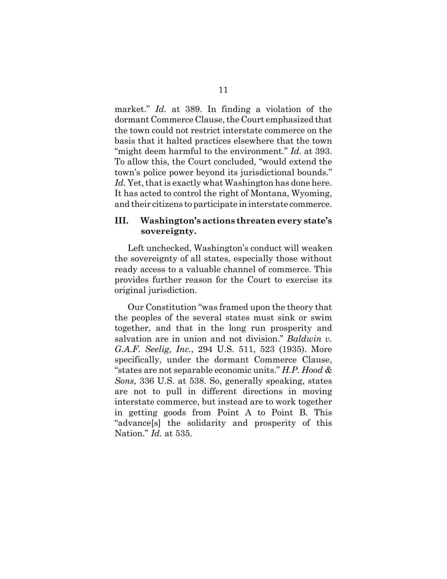market." *Id.* at 389. In finding a violation of the dormant Commerce Clause, the Court emphasized that the town could not restrict interstate commerce on the basis that it halted practices elsewhere that the town "might deem harmful to the environment." *Id.* at 393. To allow this, the Court concluded, "would extend the town's police power beyond its jurisdictional bounds." Id. Yet, that is exactly what Washington has done here. It has acted to control the right of Montana, Wyoming, and their citizens to participate in interstate commerce.

#### **III. Washington's actions threaten every state's sovereignty.**

 Left unchecked, Washington's conduct will weaken the sovereignty of all states, especially those without ready access to a valuable channel of commerce. This provides further reason for the Court to exercise its original jurisdiction.

Our Constitution "was framed upon the theory that the peoples of the several states must sink or swim together, and that in the long run prosperity and salvation are in union and not division." *Baldwin v. G.A.F. Seelig, Inc.*, 294 U.S. 511, 523 (1935). More specifically, under the dormant Commerce Clause, "states are not separable economic units." *H.P. Hood & Sons*, 336 U.S. at 538. So, generally speaking, states are not to pull in different directions in moving interstate commerce, but instead are to work together in getting goods from Point A to Point B. This "advance[s] the solidarity and prosperity of this Nation." *Id.* at 535.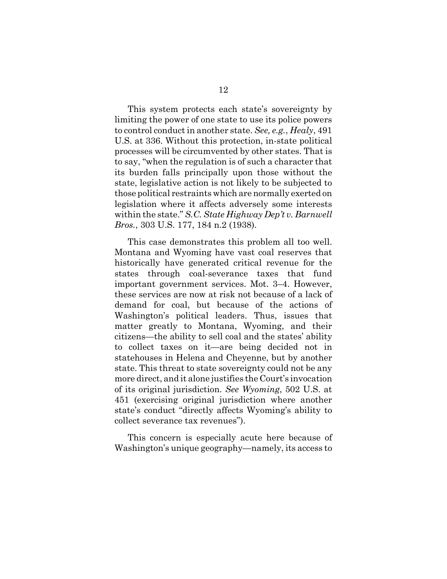This system protects each state's sovereignty by limiting the power of one state to use its police powers to control conduct in another state. *See, e.g.*, *Healy*, 491 U.S. at 336. Without this protection, in-state political processes will be circumvented by other states. That is to say, "when the regulation is of such a character that its burden falls principally upon those without the state, legislative action is not likely to be subjected to those political restraints which are normally exerted on legislation where it affects adversely some interests within the state." *S.C. State Highway Dep't v. Barnwell Bros.*, 303 U.S. 177, 184 n.2 (1938).

This case demonstrates this problem all too well. Montana and Wyoming have vast coal reserves that historically have generated critical revenue for the states through coal-severance taxes that fund important government services. Mot. 3–4. However, these services are now at risk not because of a lack of demand for coal, but because of the actions of Washington's political leaders. Thus, issues that matter greatly to Montana, Wyoming, and their citizens—the ability to sell coal and the states' ability to collect taxes on it—are being decided not in statehouses in Helena and Cheyenne, but by another state. This threat to state sovereignty could not be any more direct, and it alone justifies the Court's invocation of its original jurisdiction. *See Wyoming*, 502 U.S. at 451 (exercising original jurisdiction where another state's conduct "directly affects Wyoming's ability to collect severance tax revenues").

This concern is especially acute here because of Washington's unique geography—namely, its access to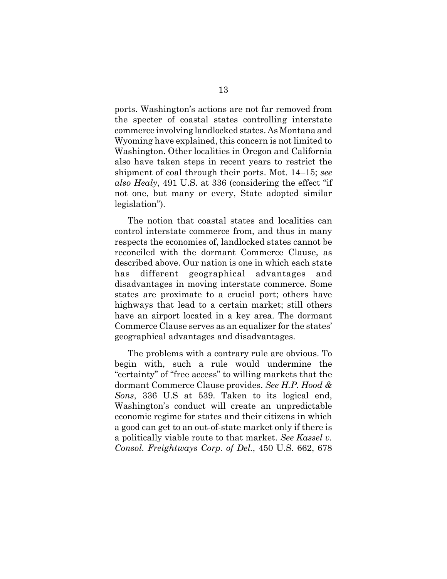ports. Washington's actions are not far removed from the specter of coastal states controlling interstate commerce involving landlocked states. As Montana and Wyoming have explained, this concern is not limited to Washington. Other localities in Oregon and California also have taken steps in recent years to restrict the shipment of coal through their ports. Mot. 14–15; *see also Healy*, 491 U.S. at 336 (considering the effect "if not one, but many or every, State adopted similar legislation").

The notion that coastal states and localities can control interstate commerce from, and thus in many respects the economies of, landlocked states cannot be reconciled with the dormant Commerce Clause, as described above. Our nation is one in which each state has different geographical advantages and disadvantages in moving interstate commerce. Some states are proximate to a crucial port; others have highways that lead to a certain market; still others have an airport located in a key area. The dormant Commerce Clause serves as an equalizer for the states' geographical advantages and disadvantages.

The problems with a contrary rule are obvious. To begin with, such a rule would undermine the "certainty" of "free access" to willing markets that the dormant Commerce Clause provides. *See H.P. Hood & Sons*, 336 U.S at 539. Taken to its logical end, Washington's conduct will create an unpredictable economic regime for states and their citizens in which a good can get to an out-of-state market only if there is a politically viable route to that market. *See Kassel v. Consol. Freightways Corp. of Del.*, 450 U.S. 662, 678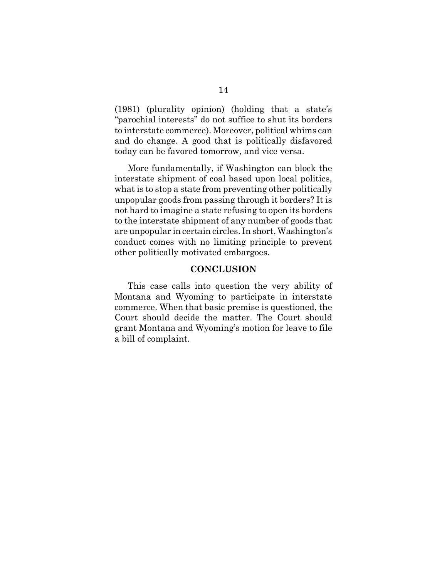(1981) (plurality opinion) (holding that a state's "parochial interests" do not suffice to shut its borders to interstate commerce). Moreover, political whims can and do change. A good that is politically disfavored today can be favored tomorrow, and vice versa.

More fundamentally, if Washington can block the interstate shipment of coal based upon local politics, what is to stop a state from preventing other politically unpopular goods from passing through it borders? It is not hard to imagine a state refusing to open its borders to the interstate shipment of any number of goods that are unpopular in certain circles. In short, Washington's conduct comes with no limiting principle to prevent other politically motivated embargoes.

#### **CONCLUSION**

This case calls into question the very ability of Montana and Wyoming to participate in interstate commerce. When that basic premise is questioned, the Court should decide the matter. The Court should grant Montana and Wyoming's motion for leave to file a bill of complaint.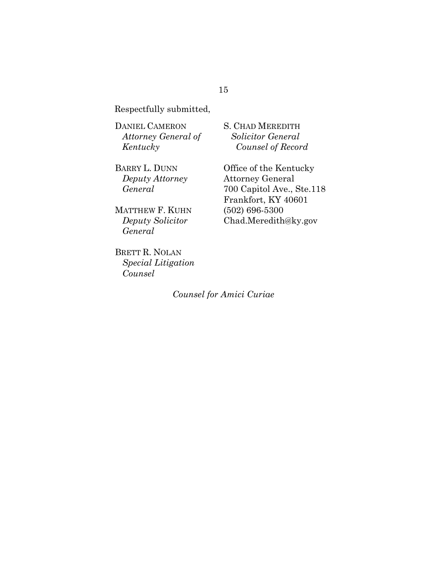Respectfully submitted,

DANIEL CAMERON *Attorney General of Kentucky*

BARRY L. DUNN *Deputy Attorney General*

MATTHEW F. KUHN *Deputy Solicitor General*

BRETT R. NOLAN *Special Litigation Counsel*

S. CHAD MEREDITH *Solicitor General Counsel of Record*

Office of the Kentucky Attorney General 700 Capitol Ave., Ste.118 Frankfort, KY 40601 (502) 696-5300 Chad.Meredith@ky.gov

*Counsel for Amici Curiae*